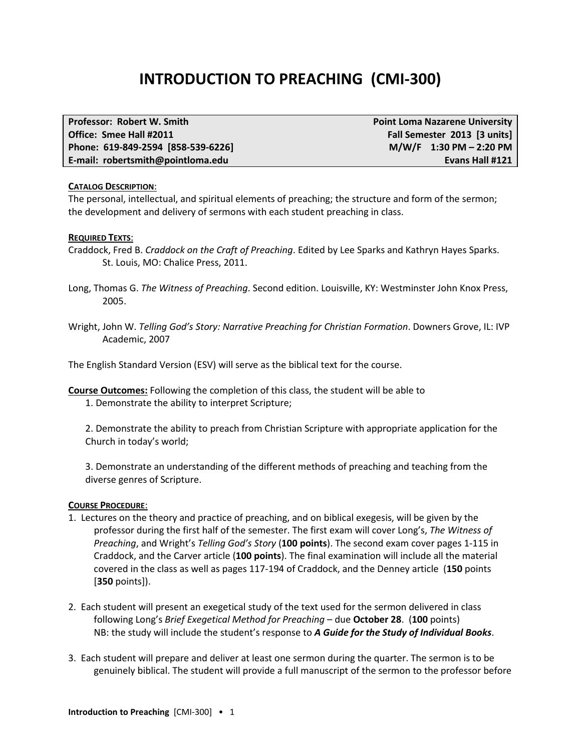# **INTRODUCTION TO PREACHING (CMI-300)**

| <b>Professor: Robert W. Smith</b>  | <b>Point Loma Nazarene University</b> |
|------------------------------------|---------------------------------------|
| Office: Smee Hall #2011            | Fall Semester 2013 [3 units]          |
| Phone: 619-849-2594 [858-539-6226] | $M/W/F$ 1:30 PM - 2:20 PM             |
| E-mail: robertsmith@pointloma.edu  | Evans Hall #121                       |

#### **CATALOG DESCRIPTION**:

The personal, intellectual, and spiritual elements of preaching; the structure and form of the sermon; the development and delivery of sermons with each student preaching in class.

#### **REQUIRED TEXTS**:

Craddock, Fred B. *Craddock on the Craft of Preaching*. Edited by Lee Sparks and Kathryn Hayes Sparks. St. Louis, MO: Chalice Press, 2011.

- Long, Thomas G. *The Witness of Preaching*. Second edition. Louisville, KY: Westminster John Knox Press, 2005.
- Wright, John W. *Telling God's Story: Narrative Preaching for Christian Formation*. Downers Grove, IL: IVP Academic, 2007

The English Standard Version (ESV) will serve as the biblical text for the course.

**Course Outcomes:** Following the completion of this class, the student will be able to

1. Demonstrate the ability to interpret Scripture;

2. Demonstrate the ability to preach from Christian Scripture with appropriate application for the Church in today's world;

3. Demonstrate an understanding of the different methods of preaching and teaching from the diverse genres of Scripture.

#### **COURSE PROCEDURE**:

- 1. Lectures on the theory and practice of preaching, and on biblical exegesis, will be given by the professor during the first half of the semester. The first exam will cover Long's, *The Witness of Preaching*, and Wright's *Telling God's Story* (**100 points**). The second exam cover pages 1-115 in Craddock, and the Carver article (**100 points**). The final examination will include all the material covered in the class as well as pages 117-194 of Craddock, and the Denney article (**150** points [**350** points]).
- 2. Each student will present an exegetical study of the text used for the sermon delivered in class following Long's *Brief Exegetical Method for Preaching* – due **October 28**. (**100** points) NB: the study will include the student's response to *A Guide for the Study of Individual Books*.
- 3. Each student will prepare and deliver at least one sermon during the quarter. The sermon is to be genuinely biblical. The student will provide a full manuscript of the sermon to the professor before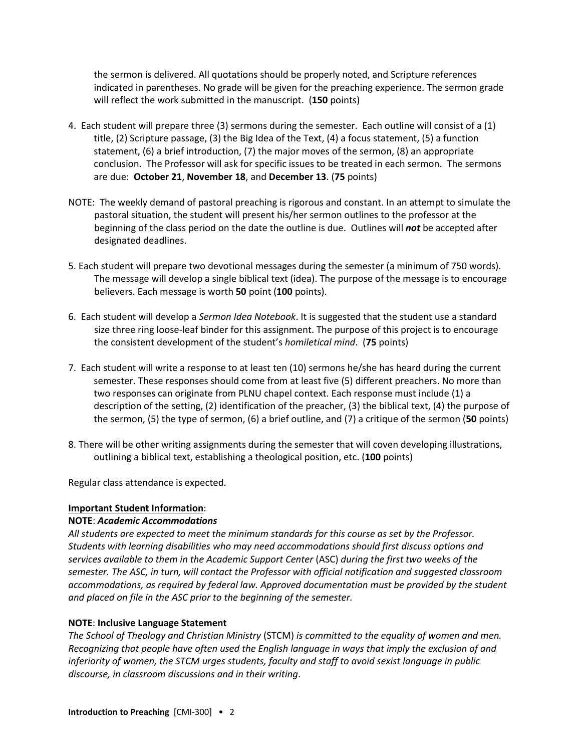the sermon is delivered. All quotations should be properly noted, and Scripture references indicated in parentheses. No grade will be given for the preaching experience. The sermon grade will reflect the work submitted in the manuscript. (**150** points)

- 4. Each student will prepare three (3) sermons during the semester. Each outline will consist of a (1) title, (2) Scripture passage, (3) the Big Idea of the Text, (4) a focus statement, (5) a function statement, (6) a brief introduction, (7) the major moves of the sermon, (8) an appropriate conclusion. The Professor will ask for specific issues to be treated in each sermon. The sermons are due: **October 21**, **November 18**, and **December 13**. (**75** points)
- NOTE: The weekly demand of pastoral preaching is rigorous and constant. In an attempt to simulate the pastoral situation, the student will present his/her sermon outlines to the professor at the beginning of the class period on the date the outline is due. Outlines will *not* be accepted after designated deadlines.
- 5. Each student will prepare two devotional messages during the semester (a minimum of 750 words). The message will develop a single biblical text (idea). The purpose of the message is to encourage believers. Each message is worth **50** point (**100** points).
- 6. Each student will develop a *Sermon Idea Notebook*. It is suggested that the student use a standard size three ring loose-leaf binder for this assignment. The purpose of this project is to encourage the consistent development of the student's *homiletical mind*. (**75** points)
- 7. Each student will write a response to at least ten (10) sermons he/she has heard during the current semester. These responses should come from at least five (5) different preachers. No more than two responses can originate from PLNU chapel context. Each response must include (1) a description of the setting, (2) identification of the preacher, (3) the biblical text, (4) the purpose of the sermon, (5) the type of sermon, (6) a brief outline, and (7) a critique of the sermon (**50** points)
- 8. There will be other writing assignments during the semester that will coven developing illustrations, outlining a biblical text, establishing a theological position, etc. (**100** points)

Regular class attendance is expected.

#### **Important Student Information**:

#### **NOTE**: *Academic Accommodations*

*All students are expected to meet the minimum standards for this course as set by the Professor. Students with learning disabilities who may need accommodations should first discuss options and services available to them in the Academic Support Center* (ASC) *during the first two weeks of the semester. The ASC, in turn, will contact the Professor with official notification and suggested classroom accommodations, as required by federal law. Approved documentation must be provided by the student and placed on file in the ASC prior to the beginning of the semester.*

#### **NOTE**: **Inclusive Language Statement**

*The School of Theology and Christian Ministry* (STCM) *is committed to the equality of women and men. Recognizing that people have often used the English language in ways that imply the exclusion of and inferiority of women, the STCM urges students, faculty and staff to avoid sexist language in public discourse, in classroom discussions and in their writing*.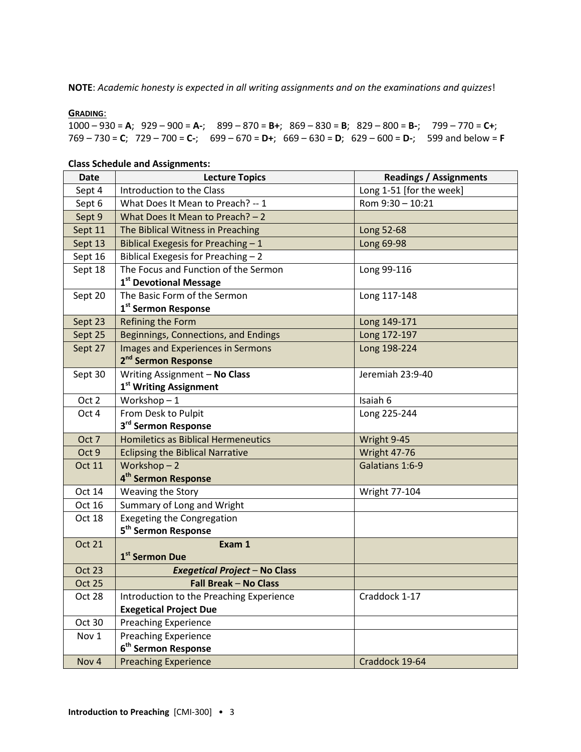**NOTE**: *Academic honesty is expected in all writing assignments and on the examinations and quizzes*!

#### **GRADING**:

1000 – 930 = **A**; 929 – 900 = **A-**; 899 – 870 = **B+**; 869 – 830 = **B**; 829 – 800 = **B-**; 799 – 770 = **C+**; 769 – 730 = **C**; 729 – 700 = **C-**; 699 – 670 = **D+**; 669 – 630 = **D**; 629 – 600 = **D-**; 599 and below = **F**

| Date          | <b>Lecture Topics</b>                                   | <b>Readings / Assignments</b> |
|---------------|---------------------------------------------------------|-------------------------------|
| Sept 4        | Introduction to the Class                               | Long 1-51 [for the week]      |
| Sept 6        | What Does It Mean to Preach? -- 1                       | Rom 9:30 - 10:21              |
| Sept 9        | What Does It Mean to Preach? - 2                        |                               |
| Sept 11       | The Biblical Witness in Preaching                       | Long 52-68                    |
| Sept 13       | Biblical Exegesis for Preaching - 1                     | Long 69-98                    |
| Sept 16       | Biblical Exegesis for Preaching - 2                     |                               |
| Sept 18       | The Focus and Function of the Sermon                    | Long 99-116                   |
|               | 1 <sup>st</sup> Devotional Message                      |                               |
| Sept 20       | The Basic Form of the Sermon                            | Long 117-148                  |
|               | 1 <sup>st</sup> Sermon Response                         |                               |
| Sept 23       | Refining the Form                                       | Long 149-171                  |
| Sept 25       | Beginnings, Connections, and Endings                    | Long 172-197                  |
| Sept 27       | Images and Experiences in Sermons                       | Long 198-224                  |
|               | 2 <sup>nd</sup> Sermon Response                         |                               |
| Sept 30       | Writing Assignment - No Class                           | Jeremiah 23:9-40              |
|               | 1 <sup>st</sup> Writing Assignment                      |                               |
| Oct 2         | Workshop- $1$                                           | Isaiah 6                      |
| Oct 4         | From Desk to Pulpit                                     | Long 225-244                  |
|               | 3 <sup>rd</sup> Sermon Response                         |                               |
| Oct 7         | <b>Homiletics as Biblical Hermeneutics</b>              | Wright 9-45                   |
| Oct 9         | <b>Eclipsing the Biblical Narrative</b>                 | <b>Wright 47-76</b>           |
| <b>Oct 11</b> | Workshop-2                                              | Galatians 1:6-9               |
|               | 4 <sup>th</sup> Sermon Response                         |                               |
| Oct 14        | Weaving the Story                                       | <b>Wright 77-104</b>          |
| Oct 16        | Summary of Long and Wright                              |                               |
| Oct 18        | <b>Exegeting the Congregation</b>                       |                               |
|               | 5 <sup>th</sup> Sermon Response                         |                               |
| <b>Oct 21</b> | Exam 1                                                  |                               |
|               | 1 <sup>st</sup> Sermon Due                              |                               |
| <b>Oct 23</b> | <b>Exegetical Project - No Class</b>                    |                               |
| Oct 25        | <b>Fall Break - No Class</b>                            |                               |
| Oct 28        | Introduction to the Preaching Experience                | Craddock 1-17                 |
|               | <b>Exegetical Project Due</b>                           |                               |
| Oct 30        | <b>Preaching Experience</b>                             |                               |
| Nov 1         | Preaching Experience<br>6 <sup>th</sup> Sermon Response |                               |
|               |                                                         |                               |
| Nov 4         | <b>Preaching Experience</b>                             | Craddock 19-64                |

#### **Class Schedule and Assignments:**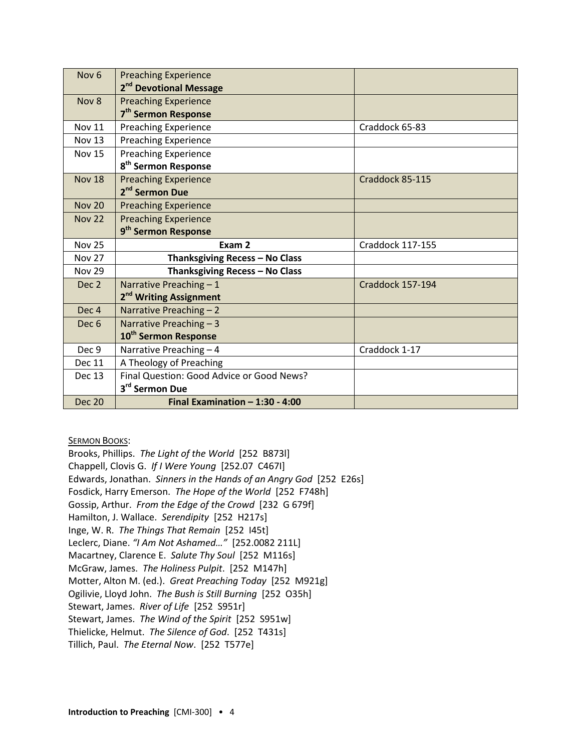| Nov <sub>6</sub> | <b>Preaching Experience</b>               |                  |
|------------------|-------------------------------------------|------------------|
|                  | 2 <sup>nd</sup> Devotional Message        |                  |
| Nov 8            | <b>Preaching Experience</b>               |                  |
|                  | 7 <sup>th</sup> Sermon Response           |                  |
| <b>Nov 11</b>    | <b>Preaching Experience</b>               | Craddock 65-83   |
| <b>Nov 13</b>    | <b>Preaching Experience</b>               |                  |
| <b>Nov 15</b>    | <b>Preaching Experience</b>               |                  |
|                  | 8 <sup>th</sup> Sermon Response           |                  |
| <b>Nov 18</b>    | <b>Preaching Experience</b>               | Craddock 85-115  |
|                  | 2 <sup>nd</sup> Sermon Due                |                  |
| <b>Nov 20</b>    | <b>Preaching Experience</b>               |                  |
| <b>Nov 22</b>    | <b>Preaching Experience</b>               |                  |
|                  | 9 <sup>th</sup> Sermon Response           |                  |
| <b>Nov 25</b>    | Exam 2                                    | Craddock 117-155 |
| <b>Nov 27</b>    | Thanksgiving Recess - No Class            |                  |
| <b>Nov 29</b>    | Thanksgiving Recess - No Class            |                  |
|                  |                                           |                  |
| Dec 2            | Narrative Preaching - 1                   | Craddock 157-194 |
|                  | 2 <sup>nd</sup> Writing Assignment        |                  |
| Dec <sub>4</sub> | Narrative Preaching - 2                   |                  |
| Dec <sub>6</sub> | Narrative Preaching - 3                   |                  |
|                  | 10 <sup>th</sup> Sermon Response          |                  |
| Dec 9            | Narrative Preaching - 4                   | Craddock 1-17    |
| <b>Dec 11</b>    | A Theology of Preaching                   |                  |
| <b>Dec 13</b>    | Final Question: Good Advice or Good News? |                  |
|                  | 3 <sup>rd</sup> Sermon Due                |                  |

**SERMON BOOKS:** 

Brooks, Phillips. *The Light of the World* [252 B873l] Chappell, Clovis G. *If I Were Young* [252.07 C467I] Edwards, Jonathan. *Sinners in the Hands of an Angry God* [252 E26s] Fosdick, Harry Emerson. *The Hope of the World* [252 F748h] Gossip, Arthur. *From the Edge of the Crowd* [232 G 679f] Hamilton, J. Wallace. *Serendipity* [252 H217s] Inge, W. R. *The Things That Remain* [252 I45t] Leclerc, Diane. *"I Am Not Ashamed…"* [252.0082 211L] Macartney, Clarence E. *Salute Thy Soul* [252 M116s] McGraw, James. *The Holiness Pulpit*. [252 M147h] Motter, Alton M. (ed.). *Great Preaching Today* [252 M921g] Ogilivie, Lloyd John. *The Bush is Still Burning* [252 O35h] Stewart, James. *River of Life* [252 S951r] Stewart, James. *The Wind of the Spirit* [252 S951w] Thielicke, Helmut. *The Silence of God*. [252 T431s] Tillich, Paul. *The Eternal Now*. [252 T577e]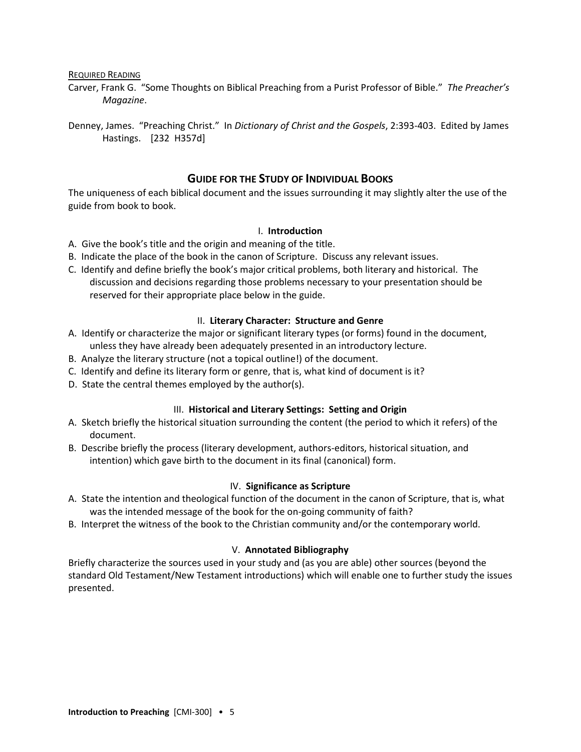REQUIRED READING

- Carver, Frank G. "Some Thoughts on Biblical Preaching from a Purist Professor of Bible." *The Preacher's Magazine*.
- Denney, James. "Preaching Christ." In *Dictionary of Christ and the Gospels*, 2:393-403. Edited by James Hastings. [232 H357d]

# **GUIDE FOR THE STUDY OF INDIVIDUAL BOOKS**

The uniqueness of each biblical document and the issues surrounding it may slightly alter the use of the guide from book to book.

#### I. **Introduction**

- A. Give the book's title and the origin and meaning of the title.
- B. Indicate the place of the book in the canon of Scripture. Discuss any relevant issues.
- C. Identify and define briefly the book's major critical problems, both literary and historical. The discussion and decisions regarding those problems necessary to your presentation should be reserved for their appropriate place below in the guide.

#### II. **Literary Character: Structure and Genre**

- A. Identify or characterize the major or significant literary types (or forms) found in the document, unless they have already been adequately presented in an introductory lecture.
- B. Analyze the literary structure (not a topical outline!) of the document.
- C. Identify and define its literary form or genre, that is, what kind of document is it?
- D. State the central themes employed by the author(s).

#### III. **Historical and Literary Settings: Setting and Origin**

- A. Sketch briefly the historical situation surrounding the content (the period to which it refers) of the document.
- B. Describe briefly the process (literary development, authors-editors, historical situation, and intention) which gave birth to the document in its final (canonical) form.

#### IV. **Significance as Scripture**

- A. State the intention and theological function of the document in the canon of Scripture, that is, what was the intended message of the book for the on-going community of faith?
- B. Interpret the witness of the book to the Christian community and/or the contemporary world.

#### V. **Annotated Bibliography**

Briefly characterize the sources used in your study and (as you are able) other sources (beyond the standard Old Testament/New Testament introductions) which will enable one to further study the issues presented.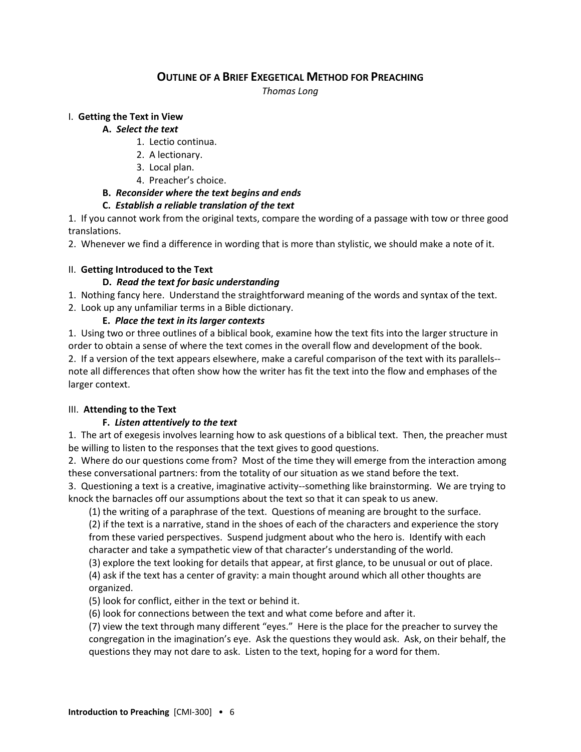# **OUTLINE OF A BRIEF EXEGETICAL METHOD FOR PREACHING**

*Thomas Long*

## I. **Getting the Text in View**

## **A.** *Select the text*

- 1. Lectio continua.
- 2. A lectionary.
- 3. Local plan.
- 4. Preacher's choice.

# **B.** *Reconsider where the text begins and ends*

# **C.** *Establish a reliable translation of the text*

1. If you cannot work from the original texts, compare the wording of a passage with tow or three good translations.

2. Whenever we find a difference in wording that is more than stylistic, we should make a note of it.

# II. **Getting Introduced to the Text**

# **D.** *Read the text for basic understanding*

- 1. Nothing fancy here. Understand the straightforward meaning of the words and syntax of the text.
- 2. Look up any unfamiliar terms in a Bible dictionary.

# **E.** *Place the text in its larger contexts*

1. Using two or three outlines of a biblical book, examine how the text fits into the larger structure in order to obtain a sense of where the text comes in the overall flow and development of the book. 2. If a version of the text appears elsewhere, make a careful comparison of the text with its parallels- note all differences that often show how the writer has fit the text into the flow and emphases of the larger context.

# III. **Attending to the Text**

# **F.** *Listen attentively to the text*

1. The art of exegesis involves learning how to ask questions of a biblical text. Then, the preacher must be willing to listen to the responses that the text gives to good questions.

2. Where do our questions come from? Most of the time they will emerge from the interaction among these conversational partners: from the totality of our situation as we stand before the text.

3. Questioning a text is a creative, imaginative activity--something like brainstorming. We are trying to knock the barnacles off our assumptions about the text so that it can speak to us anew.

(1) the writing of a paraphrase of the text. Questions of meaning are brought to the surface.

(2) if the text is a narrative, stand in the shoes of each of the characters and experience the story from these varied perspectives. Suspend judgment about who the hero is. Identify with each character and take a sympathetic view of that character's understanding of the world.

(3) explore the text looking for details that appear, at first glance, to be unusual or out of place.

(4) ask if the text has a center of gravity: a main thought around which all other thoughts are organized.

(5) look for conflict, either in the text or behind it.

(6) look for connections between the text and what come before and after it.

(7) view the text through many different "eyes." Here is the place for the preacher to survey the congregation in the imagination's eye. Ask the questions they would ask. Ask, on their behalf, the questions they may not dare to ask. Listen to the text, hoping for a word for them.